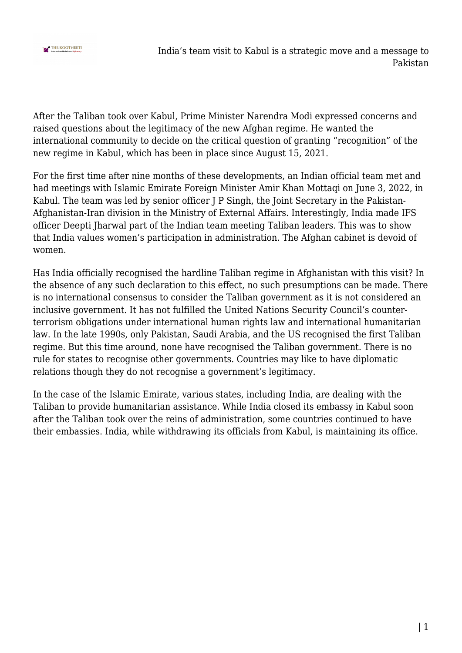

After the Taliban took over Kabul, Prime Minister Narendra Modi expressed concerns and raised questions about the legitimacy of the new Afghan regime. He wanted the international community to decide on the critical question of granting "recognition" of the new regime in Kabul, which has been in place since August 15, 2021.

For the first time after nine months of these developments, an Indian official team met and had meetings with Islamic Emirate Foreign Minister Amir Khan Mottaqi on June 3, 2022, in Kabul. The team was led by senior officer J P Singh, the Joint Secretary in the Pakistan-Afghanistan-Iran division in the Ministry of External Affairs. Interestingly, India made IFS officer Deepti Jharwal part of the Indian team meeting Taliban leaders. This was to show that India values women's participation in administration. The Afghan cabinet is devoid of women.

Has India officially recognised the hardline Taliban regime in Afghanistan with this visit? In the absence of any such declaration to this effect, no such presumptions can be made. There is no international consensus to consider the Taliban government as it is not considered an inclusive government. It has not fulfilled the United Nations Security Council's counterterrorism obligations under international human rights law and international humanitarian law. In the late 1990s, only Pakistan, Saudi Arabia, and the US recognised the first Taliban regime. But this time around, none have recognised the Taliban government. There is no rule for states to recognise other governments. Countries may like to have diplomatic relations though they do not recognise a government's legitimacy.

In the case of the Islamic Emirate, various states, including India, are dealing with the Taliban to provide humanitarian assistance. While India closed its embassy in Kabul soon after the Taliban took over the reins of administration, some countries continued to have their embassies. India, while withdrawing its officials from Kabul, is maintaining its office.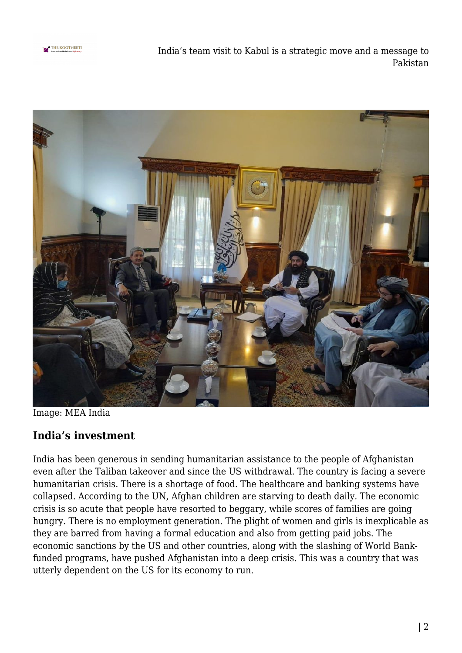

India's team visit to Kabul is a strategic move and a message to Pakistan



Image: MEA India

## **India's investment**

India has been generous in sending humanitarian assistance to the people of Afghanistan even after the Taliban takeover and since the US withdrawal. The country is facing a severe humanitarian crisis. There is a shortage of food. The healthcare and banking systems have collapsed. According to the UN, Afghan children are starving to death daily. The economic crisis is so acute that people have resorted to beggary, while scores of families are going hungry. There is no employment generation. The plight of women and girls is inexplicable as they are barred from having a formal education and also from getting paid jobs. The economic sanctions by the US and other countries, along with the slashing of World Bankfunded programs, have pushed Afghanistan into a deep crisis. This was a country that was utterly dependent on the US for its economy to run.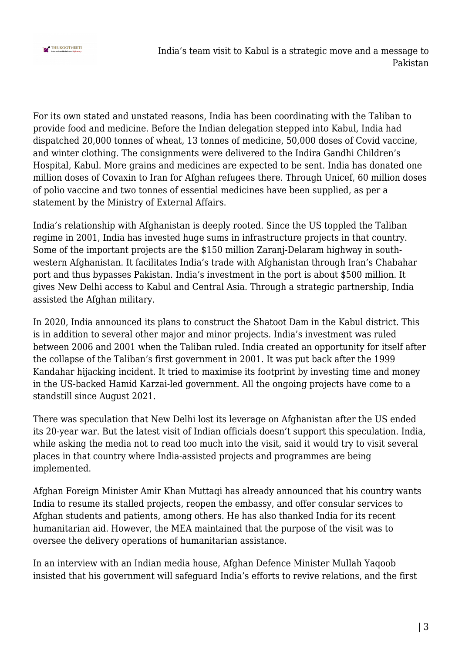

India's team visit to Kabul is a strategic move and a message to Pakistan

For its own stated and unstated reasons, India has been coordinating with the Taliban to provide food and medicine. Before the Indian delegation stepped into Kabul, India had dispatched 20,000 tonnes of wheat, 13 tonnes of medicine, 50,000 doses of Covid vaccine, and winter clothing. The consignments were delivered to the Indira Gandhi Children's Hospital, Kabul. More grains and medicines are expected to be sent. India has donated one million doses of Covaxin to Iran for Afghan refugees there. Through Unicef, 60 million doses of polio vaccine and two tonnes of essential medicines have been supplied, as per a statement by the Ministry of External Affairs.

India's relationship with Afghanistan is deeply rooted. Since the US toppled the Taliban regime in 2001, India has invested huge sums in infrastructure projects in that country. Some of the important projects are the \$150 million Zaranj-Delaram highway in southwestern Afghanistan. It facilitates India's trade with Afghanistan through Iran's Chabahar port and thus bypasses Pakistan. India's investment in the port is about \$500 million. It gives New Delhi access to Kabul and Central Asia. Through a strategic partnership, India assisted the Afghan military.

In 2020, India announced its plans to construct the Shatoot Dam in the Kabul district. This is in addition to several other major and minor projects. India's investment was ruled between 2006 and 2001 when the Taliban ruled. India created an opportunity for itself after the collapse of the Taliban's first government in 2001. It was put back after the 1999 Kandahar hijacking incident. It tried to maximise its footprint by investing time and money in the US-backed Hamid Karzai-led government. All the ongoing projects have come to a standstill since August 2021.

There was speculation that New Delhi lost its leverage on Afghanistan after the US ended its 20-year war. But the latest visit of Indian officials doesn't support this speculation. India, while asking the media not to read too much into the visit, said it would try to visit several places in that country where India-assisted projects and programmes are being implemented.

Afghan Foreign Minister Amir Khan Muttaqi has already announced that his country wants India to resume its stalled projects, reopen the embassy, and offer consular services to Afghan students and patients, among others. He has also thanked India for its recent humanitarian aid. However, the MEA maintained that the purpose of the visit was to oversee the delivery operations of humanitarian assistance.

In an interview with an Indian media house, Afghan Defence Minister Mullah Yaqoob insisted that his government will safeguard India's efforts to revive relations, and the first